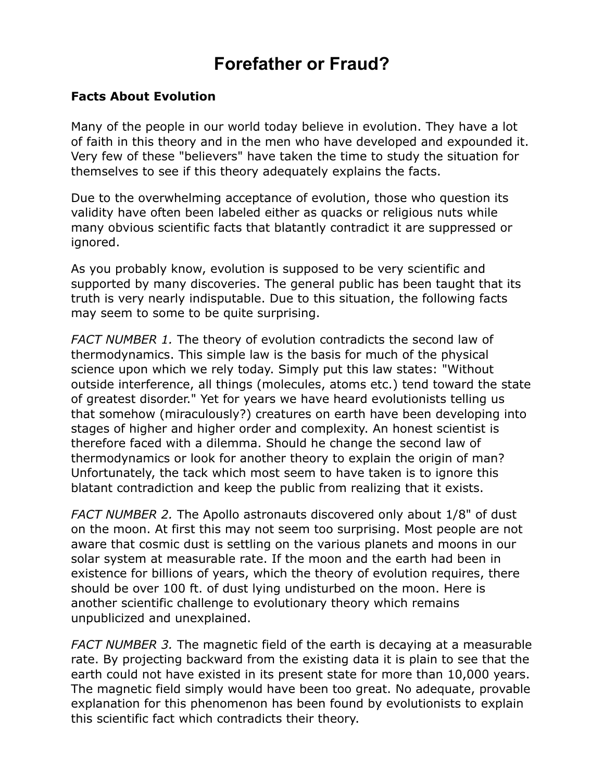## **Forefather or Fraud?**

## **Facts About Evolution**

Many of the people in our world today believe in evolution. They have a lot of faith in this theory and in the men who have developed and expounded it. Very few of these "believers" have taken the time to study the situation for themselves to see if this theory adequately explains the facts.

Due to the overwhelming acceptance of evolution, those who question its validity have often been labeled either as quacks or religious nuts while many obvious scientific facts that blatantly contradict it are suppressed or ignored.

As you probably know, evolution is supposed to be very scientific and supported by many discoveries. The general public has been taught that its truth is very nearly indisputable. Due to this situation, the following facts may seem to some to be quite surprising.

*FACT NUMBER 1.* The theory of evolution contradicts the second law of thermodynamics. This simple law is the basis for much of the physical science upon which we rely today. Simply put this law states: "Without outside interference, all things (molecules, atoms etc.) tend toward the state of greatest disorder." Yet for years we have heard evolutionists telling us that somehow (miraculously?) creatures on earth have been developing into stages of higher and higher order and complexity. An honest scientist is therefore faced with a dilemma. Should he change the second law of thermodynamics or look for another theory to explain the origin of man? Unfortunately, the tack which most seem to have taken is to ignore this blatant contradiction and keep the public from realizing that it exists.

*FACT NUMBER 2.* The Apollo astronauts discovered only about 1/8" of dust on the moon. At first this may not seem too surprising. Most people are not aware that cosmic dust is settling on the various planets and moons in our solar system at measurable rate. If the moon and the earth had been in existence for billions of years, which the theory of evolution requires, there should be over 100 ft. of dust lying undisturbed on the moon. Here is another scientific challenge to evolutionary theory which remains unpublicized and unexplained.

*FACT NUMBER 3.* The magnetic field of the earth is decaying at a measurable rate. By projecting backward from the existing data it is plain to see that the earth could not have existed in its present state for more than 10,000 years. The magnetic field simply would have been too great. No adequate, provable explanation for this phenomenon has been found by evolutionists to explain this scientific fact which contradicts their theory.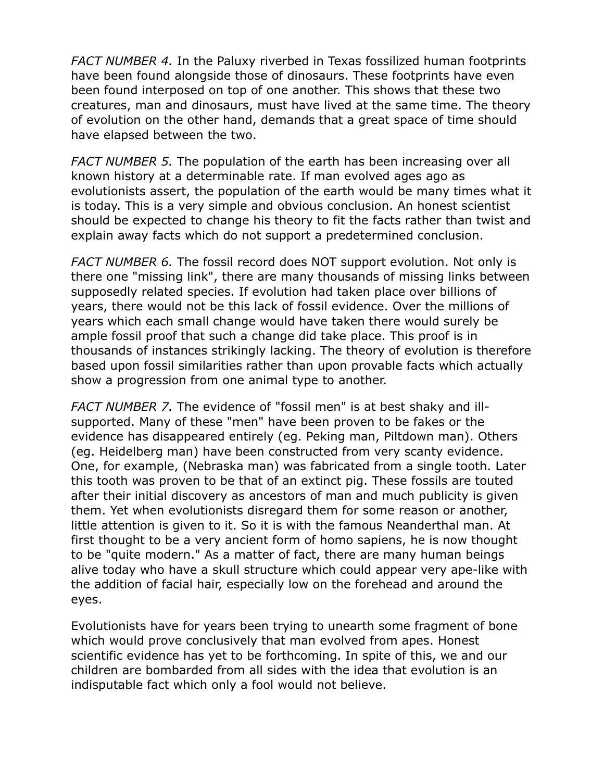*FACT NUMBER 4.* In the Paluxy riverbed in Texas fossilized human footprints have been found alongside those of dinosaurs. These footprints have even been found interposed on top of one another. This shows that these two creatures, man and dinosaurs, must have lived at the same time. The theory of evolution on the other hand, demands that a great space of time should have elapsed between the two.

*FACT NUMBER 5.* The population of the earth has been increasing over all known history at a determinable rate. If man evolved ages ago as evolutionists assert, the population of the earth would be many times what it is today. This is a very simple and obvious conclusion. An honest scientist should be expected to change his theory to fit the facts rather than twist and explain away facts which do not support a predetermined conclusion.

*FACT NUMBER 6.* The fossil record does NOT support evolution. Not only is there one "missing link", there are many thousands of missing links between supposedly related species. If evolution had taken place over billions of years, there would not be this lack of fossil evidence. Over the millions of years which each small change would have taken there would surely be ample fossil proof that such a change did take place. This proof is in thousands of instances strikingly lacking. The theory of evolution is therefore based upon fossil similarities rather than upon provable facts which actually show a progression from one animal type to another.

*FACT NUMBER 7.* The evidence of "fossil men" is at best shaky and illsupported. Many of these "men" have been proven to be fakes or the evidence has disappeared entirely (eg. Peking man, Piltdown man). Others (eg. Heidelberg man) have been constructed from very scanty evidence. One, for example, (Nebraska man) was fabricated from a single tooth. Later this tooth was proven to be that of an extinct pig. These fossils are touted after their initial discovery as ancestors of man and much publicity is given them. Yet when evolutionists disregard them for some reason or another, little attention is given to it. So it is with the famous Neanderthal man. At first thought to be a very ancient form of homo sapiens, he is now thought to be "quite modern." As a matter of fact, there are many human beings alive today who have a skull structure which could appear very ape-like with the addition of facial hair, especially low on the forehead and around the eyes.

Evolutionists have for years been trying to unearth some fragment of bone which would prove conclusively that man evolved from apes. Honest scientific evidence has yet to be forthcoming. In spite of this, we and our children are bombarded from all sides with the idea that evolution is an indisputable fact which only a fool would not believe.